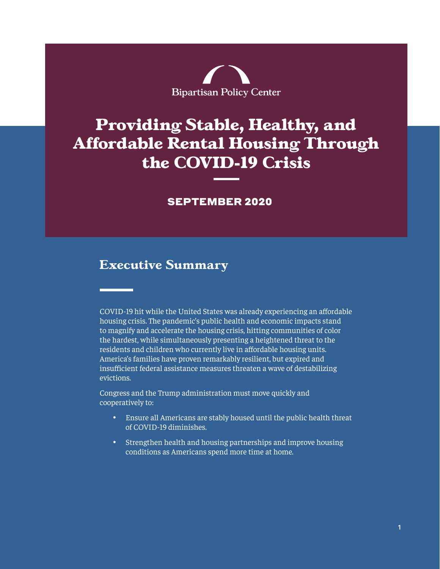

# **Providing Stable, Healthy, and Affordable Rental Housing Through the COVID-19 Crisis**

## SEPTEMBER 2020

# **Executive Summary**

COVID-19 hit while the United States was already experiencing an affordable housing crisis. The pandemic's public health and economic impacts stand to magnify and accelerate the housing crisis, hitting communities of color the hardest, while simultaneously presenting a heightened threat to the residents and children who currently live in affordable housing units. America's families have proven remarkably resilient, but expired and insufficient federal assistance measures threaten a wave of destabilizing evictions.

Congress and the Trump administration must move quickly and cooperatively to:

- • Ensure all Americans are stably housed until the public health threat of COVID-19 diminishes.
- • Strengthen health and housing partnerships and improve housing conditions as Americans spend more time at home.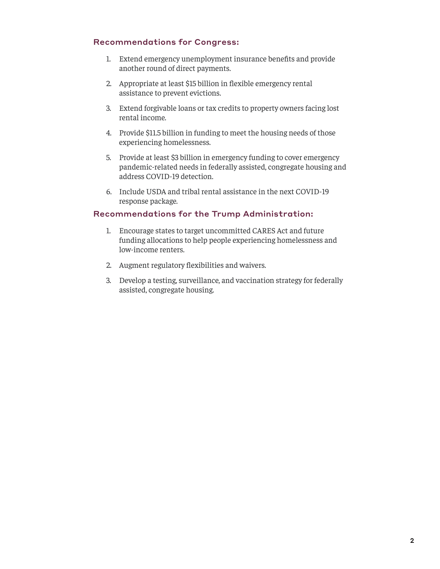#### Recommendations for Congress:

- 1. Extend emergency unemployment insurance benefits and provide another round of direct payments.
- 2. Appropriate at least \$15 billion in flexible emergency rental assistance to prevent evictions.
- 3. Extend forgivable loans or tax credits to property owners facing lost rental income.
- 4. Provide \$11.5 billion in funding to meet the housing needs of those experiencing homelessness.
- 5. Provide at least \$3 billion in emergency funding to cover emergency pandemic-related needs in federally assisted, congregate housing and address COVID-19 detection.
- 6. Include USDA and tribal rental assistance in the next COVID-19 response package.

#### Recommendations for the Trump Administration:

- 1. Encourage states to target uncommitted CARES Act and future funding allocations to help people experiencing homelessness and low-income renters.
- 2. Augment regulatory flexibilities and waivers.
- 3. Develop a testing, surveillance, and vaccination strategy for federally assisted, congregate housing.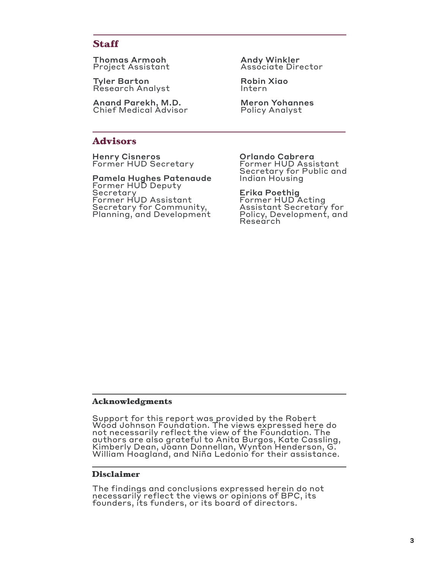# **Staff**

Thomas Armooh Project Assistant

Tyler Barton Research Analyst

Anand Parekh, M.D. Chief Medical Advisor

#### **Advisors**

Henry Cisneros Former HUD Secretary

Pamela Hughes Patenaude Former HUD Deputy Secretary Former HUD Assistant Secretary for Community, Planning, and Development

Andy Winkler Associate Director

Robin Xiao Intern

Meron Yohannes Policy Analyst

Orlando Cabrera

Former HUD Assistant Secretary for Public and Indian Housing

Erika Poethig Former HUD Acting Assistant Secretary for Policy, Development, and Research

#### **Acknowledgments**

Support for this report was provided by the Robert Wood Johnson Foundation. The views expressed here do not necessarily reflect the view of the Foundation. The authors are also grateful to Anita Burgos, Kate Cassling, Kimberly Dean, Joann Donnellan, Wynton Henderson, G. William Hoagland, and Niña Ledonio for their assistance.

#### **Disclaimer**

The findings and conclusions expressed herein do not necessarily reflect the views or opinions of BPC, its founders, its funders, or its board of directors.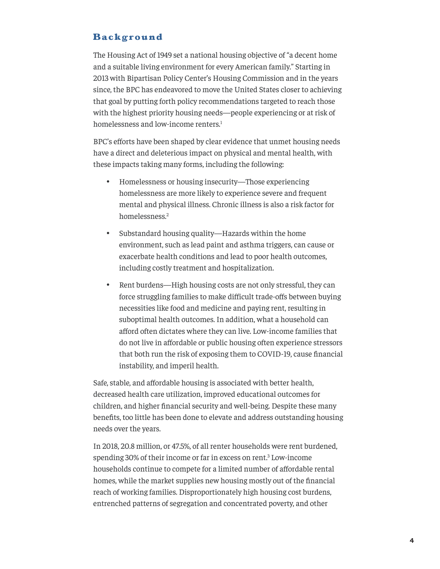# <span id="page-3-0"></span>**Background**

The Housing Act of 1949 set a national housing objective of "a decent home and a suitable living environment for every American family." Starting in 2013 with Bipartisan Policy Center's Housing Commission and in the years since, the BPC has endeavored to move the United States closer to achieving that goal by putting forth policy recommendations targeted to reach those with the highest priority housing needs—people experiencing or at risk of homelessness and low-income renters.<sup>[1](#page-18-0)</sup>

BPC's efforts have been shaped by clear evidence that unmet housing needs have a direct and deleterious impact on physical and mental health, with these impacts taking many forms, including the following:

- Homelessness or housing insecurity—Those experiencing homelessness are more likely to experience severe and frequent mental and physical illness. Chronic illness is also a risk factor for homelessness.[2](#page-18-0)
- Substandard housing quality—Hazards within the home environment, such as lead paint and asthma triggers, can cause or exacerbate health conditions and lead to poor health outcomes, including costly treatment and hospitalization.
- Rent burdens—High housing costs are not only stressful, they can force struggling families to make difficult trade-offs between buying necessities like food and medicine and paying rent, resulting in suboptimal health outcomes. In addition, what a household can afford often dictates where they can live. Low-income families that do not live in affordable or public housing often experience stressors that both run the risk of exposing them to COVID-19, cause financial instability, and imperil health.

Safe, stable, and affordable housing is associated with better health, decreased health care utilization, improved educational outcomes for children, and higher financial security and well-being. Despite these many benefits, too little has been done to elevate and address outstanding housing needs over the years.

In 2018, 20.8 million, or 47.5%, of all renter households were rent burdened, spending [3](#page-18-0)0% of their income or far in excess on rent.<sup>3</sup> Low-income households continue to compete for a limited number of affordable rental homes, while the market supplies new housing mostly out of the financial reach of working families. Disproportionately high housing cost burdens, entrenched patterns of segregation and concentrated poverty, and other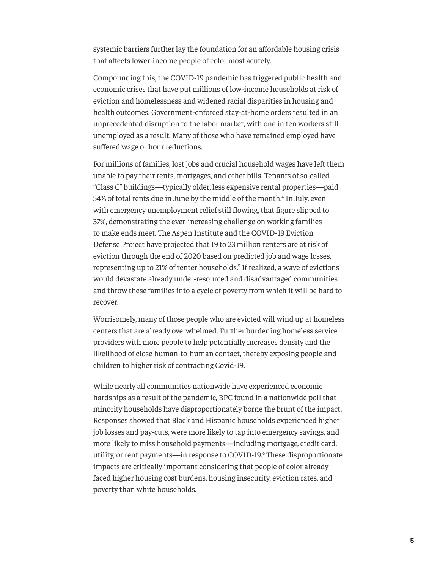<span id="page-4-0"></span>systemic barriers further lay the foundation for an affordable housing crisis that affects lower-income people of color most acutely.

Compounding this, the COVID-19 pandemic has triggered public health and economic crises that have put millions of low-income households at risk of eviction and homelessness and widened racial disparities in housing and health outcomes. Government-enforced stay-at-home orders resulted in an unprecedented disruption to the labor market, with one in ten workers still unemployed as a result. Many of those who have remained employed have suffered wage or hour reductions.

For millions of families, lost jobs and crucial household wages have left them unable to pay their rents, mortgages, and other bills. Tenants of so-called "Class C" buildings—typically older, less expensive rental properties—paid 5[4](#page-18-0)% of total rents due in June by the middle of the month.<sup>4</sup> In July, even with emergency unemployment relief still flowing, that figure slipped to 37%, demonstrating the ever-increasing challenge on working families to make ends meet. The Aspen Institute and the COVID-19 Eviction Defense Project have projected that 19 to 23 million renters are at risk of eviction through the end of 2020 based on predicted job and wage losses, representing up to 21% of renter households.<sup>[5](#page-18-0)</sup> If realized, a wave of evictions would devastate already under-resourced and disadvantaged communities and throw these families into a cycle of poverty from which it will be hard to recover.

Worrisomely, many of those people who are evicted will wind up at homeless centers that are already overwhelmed. Further burdening homeless service providers with more people to help potentially increases density and the likelihood of close human-to-human contact, thereby exposing people and children to higher risk of contracting Covid-19.

While nearly all communities nationwide have experienced economic hardships as a result of the pandemic, BPC found in a nationwide poll that minority households have disproportionately borne the brunt of the impact. Responses showed that Black and Hispanic households experienced higher job losses and pay-cuts, were more likely to tap into emergency savings, and more likely to miss household payments—including mortgage, credit card, utility, or rent payments—in response to COVID-19.[6](#page-18-0) These disproportionate impacts are critically important considering that people of color already faced higher housing cost burdens, housing insecurity, eviction rates, and poverty than white households.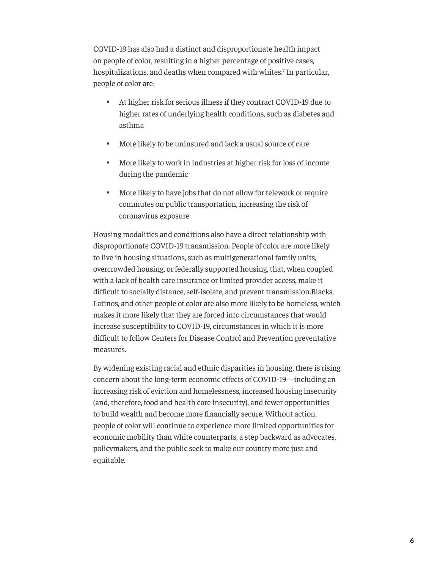<span id="page-5-0"></span>COVID-19 has also had a distinct and disproportionate health impact on people of color, resulting in a higher percentage of positive cases, hospitalizations, and deaths when compared with whites.<sup>7</sup> In particular, people of color are:

- • At higher risk for serious illness if they contract COVID-19 due to higher rates of underlying health conditions, such as diabetes and asthma
- More likely to be uninsured and lack a usual source of care
- • More likely to work in industries at higher risk for loss of income during the pandemic
- • More likely to have jobs that do not allow for telework or require commutes on public transportation, increasing the risk of coronavirus exposure

Housing modalities and conditions also have a direct relationship with disproportionate COVID-19 transmission. People of color are more likely to live in housing situations, such as multigenerational family units, overcrowded housing, or federally supported housing, that, when coupled with a lack of health care insurance or limited provider access, make it difficult to socially distance, self-isolate, and prevent transmission.Blacks, Latinos, and other people of color are also more likely to be homeless, which makes it more likely that they are forced into circumstances that would increase susceptibility to COVID-19, circumstances in which it is more difficult to follow Centers for Disease Control and Prevention preventative measures.

By widening existing racial and ethnic disparities in housing, there is rising concern about the long-term economic effects of COVID-19—including an increasing risk of eviction and homelessness, increased housing insecurity (and, therefore, food and health care insecurity), and fewer opportunities to build wealth and become more financially secure. Without action, people of color will continue to experience more limited opportunities for economic mobility than white counterparts, a step backward as advocates, policymakers, and the public seek to make our country more just and equitable.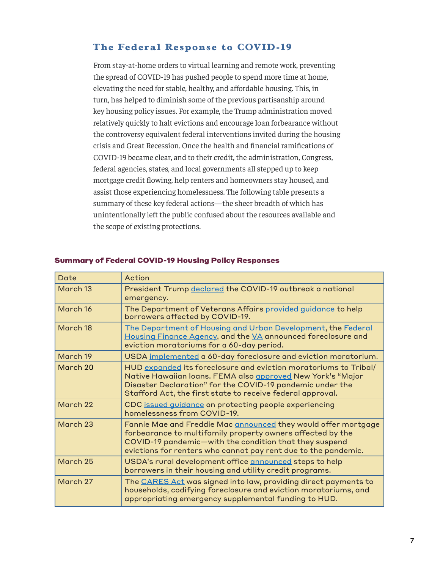# **The Federal Response to COVID-19**

From stay-at-home orders to virtual learning and remote work, preventing the spread of COVID-19 has pushed people to spend more time at home, elevating the need for stable, healthy, and affordable housing. This, in turn, has helped to diminish some of the previous partisanship around key housing policy issues. For example, the Trump administration moved relatively quickly to halt evictions and encourage loan forbearance without the controversy equivalent federal interventions invited during the housing crisis and Great Recession. Once the health and financial ramifications of COVID-19 became clear, and to their credit, the administration, Congress, federal agencies, states, and local governments all stepped up to keep mortgage credit flowing, help renters and homeowners stay housed, and assist those experiencing homelessness. The following table presents a summary of these key federal actions—the sheer breadth of which has unintentionally left the public confused about the resources available and the scope of existing protections.

| Date     | Action                                                                                                                                                                                                                                                     |  |  |  |
|----------|------------------------------------------------------------------------------------------------------------------------------------------------------------------------------------------------------------------------------------------------------------|--|--|--|
| March 13 | President Trump declared the COVID-19 outbreak a national<br>emergency.                                                                                                                                                                                    |  |  |  |
| March 16 | The Department of Veterans Affairs provided guidance to help<br>borrowers affected by COVID-19.                                                                                                                                                            |  |  |  |
| March 18 | The Department of Housing and Urban Development, the Federal<br>Housing Finance Agency, and the VA announced foreclosure and<br>eviction moratoriums for a 60-day period.                                                                                  |  |  |  |
| March 19 | USDA implemented a 60-day foreclosure and eviction moratorium.                                                                                                                                                                                             |  |  |  |
| March 20 | HUD expanded its foreclosure and eviction moratoriums to Tribal/<br>Native Hawaiian Ioans. FEMA also approved New York's "Major<br>Disaster Declaration" for the COVID-19 pandemic under the<br>Stafford Act, the first state to receive federal approval. |  |  |  |
| March 22 | CDC issued guidance on protecting people experiencing<br>homelessness from COVID-19.                                                                                                                                                                       |  |  |  |
| March 23 | Fannie Mae and Freddie Mac announced they would offer mortgage<br>forbearance to multifamily property owners affected by the<br>COVID-19 pandemic-with the condition that they suspend<br>evictions for renters who cannot pay rent due to the pandemic.   |  |  |  |
| March 25 | USDA's rural development office announced steps to help<br>borrowers in their housing and utility credit programs.                                                                                                                                         |  |  |  |
| March 27 | The <b>CARES Act</b> was signed into law, providing direct payments to<br>households, codifying foreclosure and eviction moratoriums, and<br>appropriating emergency supplemental funding to HUD.                                                          |  |  |  |

#### Summary of Federal COVID-19 Housing Policy Responses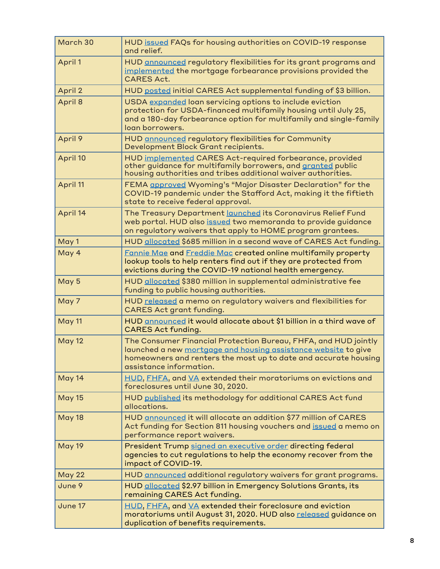| March 30      | HUD issued FAQs for housing authorities on COVID-19 response<br>and relief.                                                                                                                                                     |  |  |  |
|---------------|---------------------------------------------------------------------------------------------------------------------------------------------------------------------------------------------------------------------------------|--|--|--|
| April 1       | HUD announced regulatory flexibilities for its grant programs and<br>implemented the mortgage forbearance provisions provided the<br><b>CARES Act.</b>                                                                          |  |  |  |
| April 2       | HUD posted initial CARES Act supplemental funding of \$3 billion.                                                                                                                                                               |  |  |  |
| April 8       | USDA expanded loan servicing options to include eviction<br>protection for USDA-financed multifamily housing until July 25,<br>and a 180-day forbearance option for multifamily and single-family<br>loan borrowers.            |  |  |  |
| April 9       | HUD announced regulatory flexibilities for Community<br>Development Block Grant recipients.                                                                                                                                     |  |  |  |
| April 10      | HUD implemented CARES Act-required forbearance, provided<br>other guidance for multifamily borrowers, and granted public<br>housing authorities and tribes additional waiver authorities.                                       |  |  |  |
| April 11      | FEMA approved Wyoming's "Major Disaster Declaration" for the<br>COVID-19 pandemic under the Stafford Act, making it the fiftieth<br>state to receive federal approval.                                                          |  |  |  |
| April 14      | The Treasury Department launched its Coronavirus Relief Fund<br>web portal. HUD also issued two memoranda to provide guidance<br>on regulatory waivers that apply to HOME program grantees.                                     |  |  |  |
| May 1         | HUD allocated \$685 million in a second wave of CARES Act funding.                                                                                                                                                              |  |  |  |
| May 4         | Fannie Mae and Freddie Mac created online multifamily property<br>lookup tools to help renters find out if they are protected from<br>evictions during the COVID-19 national health emergency.                                  |  |  |  |
| May 5         | HUD allocated \$380 million in supplemental administrative fee<br>funding to public housing authorities.                                                                                                                        |  |  |  |
| May 7         | HUD released a memo on regulatory waivers and flexibilities for<br><b>CARES Act grant funding.</b>                                                                                                                              |  |  |  |
| May 11        | HUD announced it would allocate about \$1 billion in a third wave of<br><b>CARES Act funding.</b>                                                                                                                               |  |  |  |
| <b>May 12</b> | The Consumer Financial Protection Bureau, FHFA, and HUD jointly<br>launched a new mortgage and housing assistance website to give<br>homeowners and renters the most up to date and accurate housing<br>assistance information. |  |  |  |
| May 14        | HUD, FHFA, and VA extended their moratoriums on evictions and<br>foreclosures until June 30, 2020.                                                                                                                              |  |  |  |
| <b>May 15</b> | HUD published its methodology for additional CARES Act fund<br>allocations.                                                                                                                                                     |  |  |  |
| <b>May 18</b> | HUD announced it will allocate an addition \$77 million of CARES<br>Act funding for Section 811 housing vouchers and issued a memo on<br>performance report waivers.                                                            |  |  |  |
| <b>May 19</b> | President Trump signed an executive order directing federal<br>agencies to cut regulations to help the economy recover from the<br>impact of COVID-19.                                                                          |  |  |  |
| May 22        | HUD announced additional regulatory waivers for grant programs.                                                                                                                                                                 |  |  |  |
| June 9        | HUD allocated \$2.97 billion in Emergency Solutions Grants, its<br>remaining CARES Act funding.                                                                                                                                 |  |  |  |
| June 17       | HUD, FHFA, and VA extended their foreclosure and eviction<br>moratoriums until August 31, 2020. HUD also released guidance on<br>duplication of benefits requirements.                                                          |  |  |  |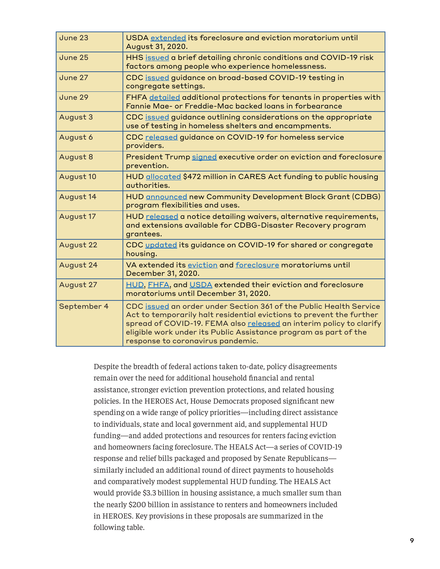| June 23     | USDA extended its foreclosure and eviction moratorium until<br>August 31, 2020.                                                                                                                                                                                                                                            |  |  |  |
|-------------|----------------------------------------------------------------------------------------------------------------------------------------------------------------------------------------------------------------------------------------------------------------------------------------------------------------------------|--|--|--|
| June 25     | HHS issued a brief detailing chronic conditions and COVID-19 risk<br>factors among people who experience homelessness.                                                                                                                                                                                                     |  |  |  |
| June 27     | CDC issued guidance on broad-based COVID-19 testing in<br>congregate settings.                                                                                                                                                                                                                                             |  |  |  |
| June 29     | FHFA detailed additional protections for tenants in properties with<br>Fannie Mae- or Freddie-Mac backed loans in forbearance                                                                                                                                                                                              |  |  |  |
| August 3    | CDC issued guidance outlining considerations on the appropriate<br>use of testing in homeless shelters and encampments.                                                                                                                                                                                                    |  |  |  |
| August 6    | CDC released guidance on COVID-19 for homeless service<br>providers.                                                                                                                                                                                                                                                       |  |  |  |
| August 8    | President Trump signed executive order on eviction and foreclosure<br>prevention.                                                                                                                                                                                                                                          |  |  |  |
| August 10   | HUD allocated \$472 million in CARES Act funding to public housing<br>authorities.                                                                                                                                                                                                                                         |  |  |  |
| August 14   | <b>HUD announced new Community Development Block Grant (CDBG)</b><br>program flexibilities and uses.                                                                                                                                                                                                                       |  |  |  |
| August 17   | HUD released a notice detailing waivers, alternative requirements,<br>and extensions available for CDBG-Disaster Recovery program<br>grantees.                                                                                                                                                                             |  |  |  |
| August 22   | CDC updated its guidance on COVID-19 for shared or congregate<br>housing.                                                                                                                                                                                                                                                  |  |  |  |
| August 24   | VA extended its eviction and foreclosure moratoriums until<br>December 31, 2020.                                                                                                                                                                                                                                           |  |  |  |
| August 27   | HUD, FHFA, and USDA extended their eviction and foreclosure<br>moratoriums until December 31, 2020.                                                                                                                                                                                                                        |  |  |  |
| September 4 | CDC issued an order under Section 361 of the Public Health Service<br>Act to temporarily halt residential evictions to prevent the further<br>spread of COVID-19. FEMA also released an interim policy to clarify<br>eligible work under its Public Assistance program as part of the<br>response to coronavirus pandemic. |  |  |  |

Despite the breadth of federal actions taken to-date, policy disagreements remain over the need for additional household financial and rental assistance, stronger eviction prevention protections, and related housing policies. In the HEROES Act, House Democrats proposed significant new spending on a wide range of policy priorities—including direct assistance to individuals, state and local government aid, and supplemental HUD funding—and added protections and resources for renters facing eviction and homeowners facing foreclosure. The HEALS Act—a series of COVID-19 response and relief bills packaged and proposed by Senate Republicans similarly included an additional round of direct payments to households and comparatively modest supplemental HUD funding. The HEALS Act would provide \$3.3 billion in housing assistance, a much smaller sum than the nearly \$200 billion in assistance to renters and homeowners included in HEROES. Key provisions in these proposals are summarized in the following table.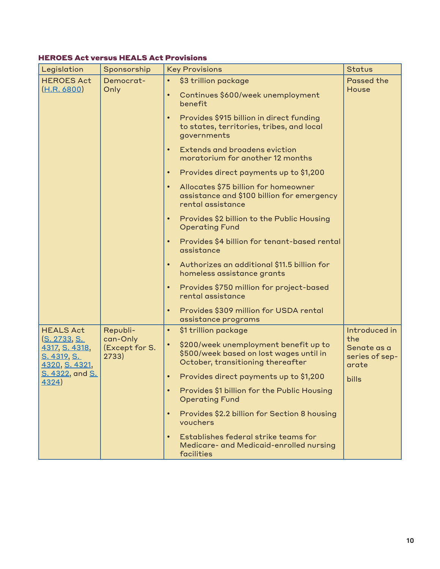# HEROES Act versus HEALS Act Provisions

| Legislation                                                                                                 | Sponsorship                                     | <b>Key Provisions</b>                                                                                                              | <b>Status</b>                          |
|-------------------------------------------------------------------------------------------------------------|-------------------------------------------------|------------------------------------------------------------------------------------------------------------------------------------|----------------------------------------|
| <b>HEROES Act</b><br>(H.R. 6800)                                                                            | Democrat-<br>Only                               | \$3 trillion package<br>Continues \$600/week unemployment<br>benefit                                                               | <b>Passed the</b><br>House             |
|                                                                                                             |                                                 | Provides \$915 billion in direct funding<br>to states, territories, tribes, and local<br>governments                               |                                        |
|                                                                                                             |                                                 | <b>Extends and broadens eviction</b><br>moratorium for another 12 months                                                           |                                        |
|                                                                                                             |                                                 | Provides direct payments up to \$1,200<br>$\bullet$                                                                                |                                        |
|                                                                                                             |                                                 | Allocates \$75 billion for homeowner<br>assistance and \$100 billion for emergency<br>rental assistance                            |                                        |
|                                                                                                             |                                                 | Provides \$2 billion to the Public Housing<br><b>Operating Fund</b>                                                                |                                        |
|                                                                                                             |                                                 | Provides \$4 billion for tenant-based rental<br>assistance                                                                         |                                        |
|                                                                                                             |                                                 | Authorizes an additional \$11.5 billion for<br>homeless assistance grants                                                          |                                        |
|                                                                                                             |                                                 | Provides \$750 million for project-based<br>rental assistance                                                                      |                                        |
|                                                                                                             |                                                 | Provides \$309 million for USDA rental<br>$\bullet$<br>assistance programs                                                         |                                        |
| <b>HEALS Act</b>                                                                                            | Republi-<br>can-Only<br>(Except for S.<br>2733) | \$1 trillion package<br>$\bullet$                                                                                                  | Introduced in<br>the                   |
| <u>(S. 2733, S. </u><br>4317, S. 4318,<br><u>S. 4319, S. </u><br>4320, S. 4321,<br>S. 4322, and S.<br>4324) |                                                 | \$200/week unemployment benefit up to<br>$\bullet$<br>\$500/week based on lost wages until in<br>October, transitioning thereafter | Senate as a<br>series of sep-<br>arate |
|                                                                                                             |                                                 | Provides direct payments up to \$1,200                                                                                             | bills                                  |
|                                                                                                             |                                                 | Provides \$1 billion for the Public Housing<br><b>Operating Fund</b>                                                               |                                        |
|                                                                                                             |                                                 | Provides \$2.2 billion for Section 8 housing<br>$\bullet$<br>vouchers                                                              |                                        |
|                                                                                                             |                                                 | Establishes federal strike teams for<br>Medicare- and Medicaid-enrolled nursing<br>facilities                                      |                                        |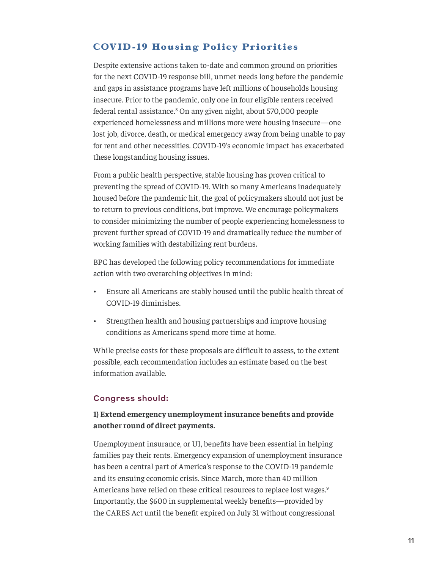# <span id="page-10-0"></span>**COVID-19 Housing Policy Priorities**

Despite extensive actions taken to-date and common ground on priorities for the next COVID-19 response bill, unmet needs long before the pandemic and gaps in assistance programs have left millions of households housing insecure. Prior to the pandemic, only one in four eligible renters received federal rental assistance.<sup>[8](#page-18-0)</sup> On any given night, about 570,000 people experienced homelessness and millions more were housing insecure—one lost job, divorce, death, or medical emergency away from being unable to pay for rent and other necessities. COVID-19's economic impact has exacerbated these longstanding housing issues.

From a public health perspective, stable housing has proven critical to preventing the spread of COVID-19. With so many Americans inadequately housed before the pandemic hit, the goal of policymakers should not just be to return to previous conditions, but improve. We encourage policymakers to consider minimizing the number of people experiencing homelessness to prevent further spread of COVID-19 and dramatically reduce the number of working families with destabilizing rent burdens.

BPC has developed the following policy recommendations for immediate action with two overarching objectives in mind:

- Ensure all Americans are stably housed until the public health threat of COVID-19 diminishes.
- Strengthen health and housing partnerships and improve housing conditions as Americans spend more time at home.

While precise costs for these proposals are difficult to assess, to the extent possible, each recommendation includes an estimate based on the best information available.

#### Congress should:

## **1) Extend emergency unemployment insurance benefits and provide another round of direct payments.**

Unemployment insurance, or UI, benefits have been essential in helping families pay their rents. Emergency expansion of unemployment insurance has been a central part of America's response to the COVID-19 pandemic and its ensuing economic crisis. Since March, more than 40 million Americans have relied on these critical resources to replace lost wages.<sup>[9](#page-18-0)</sup> Importantly, the \$600 in supplemental weekly benefits—provided by the CARES Act until the benefit expired on July 31 without congressional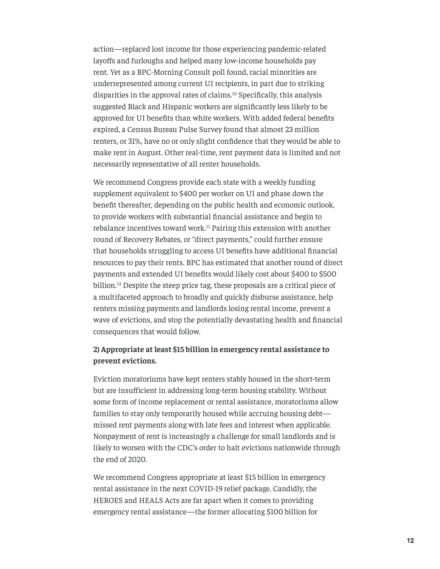<span id="page-11-0"></span>action—replaced lost income for those experiencing pandemic-related layoffs and furloughs and helped many low-income households pay rent. Yet as a BPC-Morning Consult poll found, racial minorities are underrepresented among current UI recipients, in part due to striking disparities in the approval rates of claims.[10](#page-18-0) Specifically, this analysis suggested Black and Hispanic workers are significantly less likely to be approved for UI benefits than white workers. With added federal benefits expired, a Census Bureau Pulse Survey found that almost 23 million renters, or 31%, have no or only slight confidence that they would be able to make rent in August. Other real-time, rent payment data is limited and not necessarily representative of all renter households.

We recommend Congress provide each state with a weekly funding supplement equivalent to \$400 per worker on UI and phase down the benefit thereafter, depending on the public health and economic outlook, to provide workers with substantial financial assistance and begin to rebalance incentives toward work.[11](#page-19-0) Pairing this extension with another round of Recovery Rebates, or "direct payments," could further ensure that households struggling to access UI benefits have additional financial resources to pay their rents. BPC has estimated that another round of direct payments and extended UI benefits would likely cost about \$400 to \$500 billion.<sup>[12](#page-19-0)</sup> Despite the steep price tag, these proposals are a critical piece of a multifaceted approach to broadly and quickly disburse assistance, help renters missing payments and landlords losing rental income, prevent a wave of evictions, and stop the potentially devastating health and financial consequences that would follow.

#### **2) Appropriate at least \$15 billion in emergency rental assistance to prevent evictions.**

Eviction moratoriums have kept renters stably housed in the short-term but are insufficient in addressing long-term housing stability. Without some form of income replacement or rental assistance, moratoriums allow families to stay only temporarily housed while accruing housing debt missed rent payments along with late fees and interest when applicable. Nonpayment of rent is increasingly a challenge for small landlords and is likely to worsen with the CDC's order to halt evictions nationwide through the end of 2020.

We recommend Congress appropriate at least \$15 billion in emergency rental assistance in the next COVID-19 relief package. Candidly, the HEROES and HEALS Acts are far apart when it comes to providing emergency rental assistance—the former allocating \$100 billion for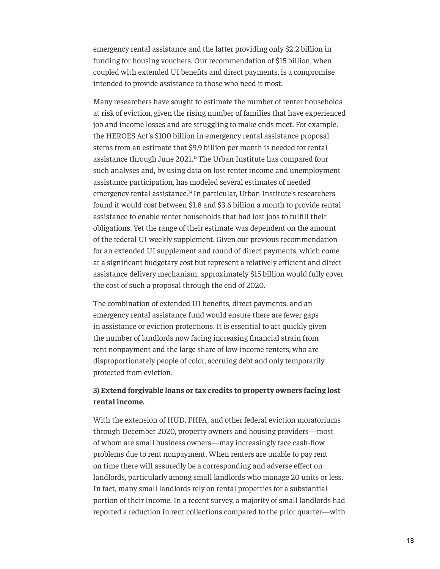<span id="page-12-0"></span>emergency rental assistance and the latter providing only \$2.2 billion in funding for housing vouchers. Our recommendation of \$15 billion, when coupled with extended UI benefits and direct payments, is a compromise intended to provide assistance to those who need it most.

Many researchers have sought to estimate the number of renter households at risk of eviction, given the rising number of families that have experienced job and income losses and are struggling to make ends meet. For example, the HEROES Act's \$100 billion in emergency rental assistance proposal stems from an estimate that \$9.9 billion per month is needed for rental assistance through June 2021.<sup>[13](#page-19-0)</sup> The Urban Institute has compared four such analyses and, by using data on lost renter income and unemployment assistance participation, has modeled several estimates of needed emergency rental assistance.<sup>[14](#page-19-0)</sup> In particular, Urban Institute's researchers found it would cost between \$1.8 and \$3.6 billion a month to provide rental assistance to enable renter households that had lost jobs to fulfill their obligations. Yet the range of their estimate was dependent on the amount of the federal UI weekly supplement. Given our previous recommendation for an extended UI supplement and round of direct payments, which come at a significant budgetary cost but represent a relatively efficient and direct assistance delivery mechanism, approximately \$15 billion would fully cover the cost of such a proposal through the end of 2020.

The combination of extended UI benefits, direct payments, and an emergency rental assistance fund would ensure there are fewer gaps in assistance or eviction protections. It is essential to act quickly given the number of landlords now facing increasing financial strain from rent nonpayment and the large share of low-income renters, who are disproportionately people of color, accruing debt and only temporarily protected from eviction.

## **3) Extend forgivable loans or tax credits to property owners facing lost rental income.**

With the extension of HUD, FHFA, and other federal eviction moratoriums through December 2020, property owners and housing providers—most of whom are small business owners—may increasingly face cash-flow problems due to rent nonpayment. When renters are unable to pay rent on time there will assuredly be a corresponding and adverse effect on landlords, particularly among small landlords who manage 20 units or less. In fact, many small landlords rely on rental properties for a substantial portion of their income. In a recent survey, a majority of small landlords had reported a reduction in rent collections compared to the prior quarter—with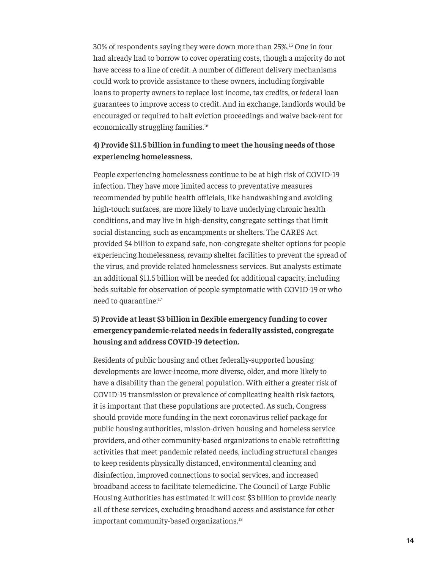<span id="page-13-0"></span>30% of respondents saying they were down more than 25%.[15](#page-19-0) One in four had already had to borrow to cover operating costs, though a majority do not have access to a line of credit. A number of different delivery mechanisms could work to provide assistance to these owners, including forgivable loans to property owners to replace lost income, tax credits, or federal loan guarantees to improve access to credit. And in exchange, landlords would be encouraged or required to halt eviction proceedings and waive back-rent for economically struggling families.<sup>[16](#page-19-0)</sup>

## **4) Provide \$11.5 billion in funding to meet the housing needs of those experiencing homelessness.**

People experiencing homelessness continue to be at high risk of COVID-19 infection. They have more limited access to preventative measures recommended by public health officials, like handwashing and avoiding high-touch surfaces, are more likely to have underlying chronic health conditions, and may live in high-density, congregate settings that limit social distancing, such as encampments or shelters. The CARES Act provided \$4 billion to expand safe, non-congregate shelter options for people experiencing homelessness, revamp shelter facilities to prevent the spread of the virus, and provide related homelessness services. But analysts estimate an additional \$11.5 billion will be needed for additional capacity, including beds suitable for observation of people symptomatic with COVID-19 or who need to quarantine.<sup>[17](#page-19-0)</sup>

## **5) Provide at least \$3 billion in flexible emergency funding to cover emergency pandemic-related needs in federally assisted, congregate housing and address COVID-19 detection.**

Residents of public housing and other federally-supported housing developments are lower-income, more diverse, older, and more likely to have a disability than the general population. With either a greater risk of COVID-19 transmission or prevalence of complicating health risk factors, it is important that these populations are protected. As such, Congress should provide more funding in the next coronavirus relief package for public housing authorities, mission-driven housing and homeless service providers, and other community-based organizations to enable retrofitting activities that meet pandemic related needs, including structural changes to keep residents physically distanced, environmental cleaning and disinfection, improved connections to social services, and increased broadband access to facilitate telemedicine. The Council of Large Public Housing Authorities has estimated it will cost \$3 billion to provide nearly all of these services, excluding broadband access and assistance for other important community-based organizations.<sup>[18](#page-19-0)</sup>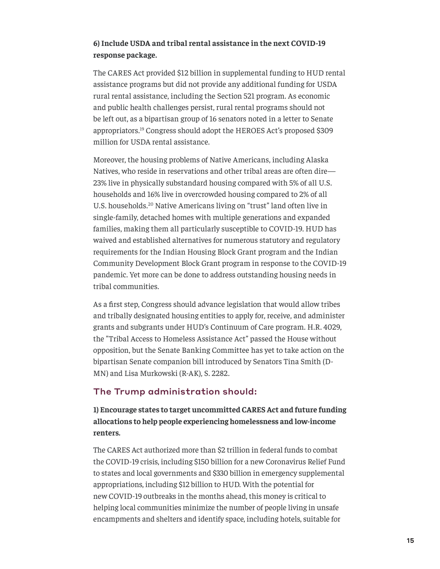## <span id="page-14-0"></span>**6) Include USDA and tribal rental assistance in the next COVID-19 response package.**

The CARES Act provided \$12 billion in supplemental funding to HUD rental assistance programs but did not provide any additional funding for USDA rural rental assistance, including the Section 521 program. As economic and public health challenges persist, rural rental programs should not be left out, as a bipartisan group of 16 senators noted in a letter to Senate appropriators.[19](#page-19-0) Congress should adopt the HEROES Act's proposed \$309 million for USDA rental assistance.

Moreover, the housing problems of Native Americans, including Alaska Natives, who reside in reservations and other tribal areas are often dire— 23% live in physically substandard housing compared with 5% of all U.S. households and 16% live in overcrowded housing compared to 2% of all U.S. households.[20](#page-19-0) Native Americans living on "trust" land often live in single-family, detached homes with multiple generations and expanded families, making them all particularly susceptible to COVID-19. HUD has waived and established alternatives for numerous statutory and regulatory requirements for the Indian Housing Block Grant program and the Indian Community Development Block Grant program in response to the COVID-19 pandemic. Yet more can be done to address outstanding housing needs in tribal communities.

As a first step, Congress should advance legislation that would allow tribes and tribally designated housing entities to apply for, receive, and administer grants and subgrants under HUD's Continuum of Care program. H.R. 4029, the "[Tribal Access to Homeless Assistance Act](https://www.congress.gov/bill/116th-congress/senate-bill/2282)" passed the House without opposition, but the Senate Banking Committee has yet to take action on the bipartisan Senate companion bill introduced by Senators Tina Smith (D-MN) and Lisa Murkowski (R-AK), S. 2282.

## The Trump administration should:

**1) Encourage states to target uncommitted CARES Act and future funding allocations to help people experiencing homelessness and low-income renters.** 

The CARES Act authorized more than \$2 trillion in federal funds to combat the COVID-19 crisis, including \$150 billion for a new Coronavirus Relief Fund to states and local governments and \$330 billion in emergency supplemental appropriations, including \$12 billion to HUD. With the potential for new COVID-19 outbreaks in the months ahead, this money is critical to helping local communities minimize the number of people living in unsafe encampments and shelters and identify space, including hotels, suitable for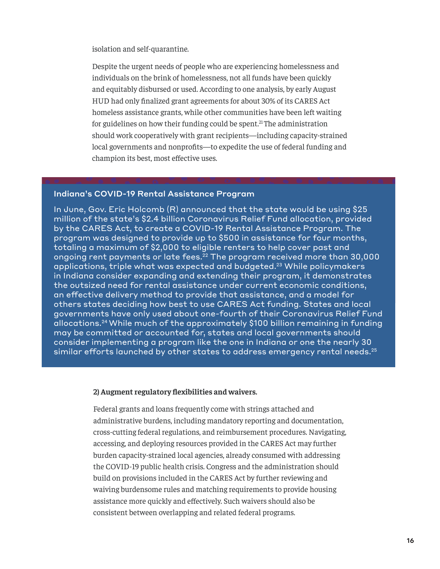<span id="page-15-0"></span>isolation and self-quarantine.

Despite the urgent needs of people who are experiencing homelessness and individuals on the brink of homelessness, not all funds have been quickly and equitably disbursed or used. According to one analysis, by early August HUD had only finalized grant agreements for about 30% of its CARES Act homeless assistance grants, while other communities have been left waiting for guidelines on how their funding could be spent. $21$ The administration should work cooperatively with grant recipients—including capacity-strained local governments and nonprofits—to expedite the use of federal funding and champion its best, most effective uses.

#### Indiana's COVID-19 Rental Assistance Program

In June, Gov. Eric Holcomb (R) announced that the state would be using \$25 million of the state's \$2.4 billion Coronavirus Relief Fund allocation, provided by the CARES Act, to create a COVID-19 Rental Assistance Program. The program was designed to provide up to \$500 in assistance for four months, totaling a maximum of \$2,000 to eligible renters to help cover past and ongoing rent payments or late fees.<sup>22</sup> The program received more than 30,000 applications, triple what was expected and budgeted.<sup>23</sup> While policymakers in Indiana consider expanding and extending their program, it demonstrates the outsized need for rental assistance under current economic conditions, an effective delivery method to provide that assistance, and a model for others states deciding how best to use CARES Act funding. States and local governments have only used about one-fourth of their Coronavirus Relief Fund allocations[.24](#page-20-0)While much of the approximately \$100 billion remaining in funding may be committed or accounted for, states and local governments should consider implementing a program like the one in Indiana or one the nearly 30 similar efforts launched by other states to address emergency rental needs. $^{25}$  $^{25}$  $^{25}$ 

#### **2) Augment regulatory flexibilities and waivers.**

Federal grants and loans frequently come with strings attached and administrative burdens, including mandatory reporting and documentation, cross-cutting federal regulations, and reimbursement procedures. Navigating, accessing, and deploying resources provided in the CARES Act may further burden capacity-strained local agencies, already consumed with addressing the COVID-19 public health crisis. Congress and the administration should build on provisions included in the CARES Act by further reviewing and waiving burdensome rules and matching requirements to provide housing assistance more quickly and effectively. Such waivers should also be consistent between overlapping and related federal programs.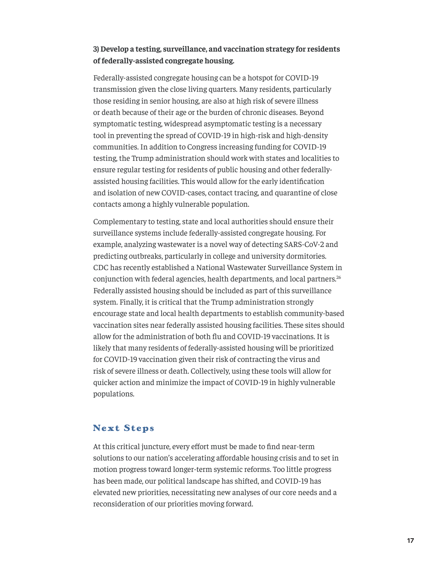## <span id="page-16-0"></span>**3) Develop a testing, surveillance, and vaccination strategy for residents of federally-assisted congregate housing.**

Federally-assisted congregate housing can be a hotspot for COVID-19 transmission given the close living quarters. Many residents, particularly those residing in senior housing, are also at high risk of severe illness or death because of their age or the burden of chronic diseases. Beyond symptomatic testing, widespread asymptomatic testing is a necessary tool in preventing the spread of COVID-19 in high-risk and high-density communities. In addition to Congress increasing funding for COVID-19 testing, the Trump administration should work with states and localities to ensure regular testing for residents of public housing and other federallyassisted housing facilities. This would allow for the early identification and isolation of new COVID-cases, contact tracing, and quarantine of close contacts among a highly vulnerable population.

Complementary to testing, state and local authorities should ensure their surveillance systems include federally-assisted congregate housing. For example, analyzing wastewater is a novel way of detecting SARS-CoV-2 and predicting outbreaks, particularly in college and university dormitories. CDC has recently established a National Wastewater Surveillance System in conjunction with federal agencies, health departments, and local partners.<sup>[26](#page-20-0)</sup> Federally assisted housing should be included as part of this surveillance system. Finally, it is critical that the Trump administration strongly encourage state and local health departments to establish community-based vaccination sites near federally assisted housing facilities. These sites should allow for the administration of both flu and COVID-19 vaccinations. It is likely that many residents of federally-assisted housing will be prioritized for COVID-19 vaccination given their risk of contracting the virus and risk of severe illness or death. Collectively, using these tools will allow for quicker action and minimize the impact of COVID-19 in highly vulnerable populations.

## **Next Steps**

At this critical juncture, every effort must be made to find near-term solutions to our nation's accelerating affordable housing crisis and to set in motion progress toward longer-term systemic reforms. Too little progress has been made, our political landscape has shifted, and COVID-19 has elevated new priorities, necessitating new analyses of our core needs and a reconsideration of our priorities moving forward.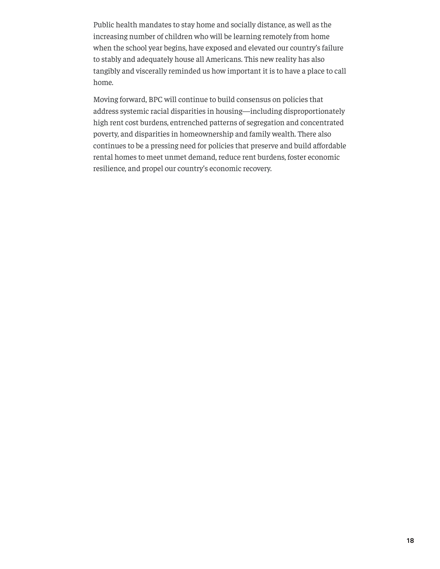Public health mandates to stay home and socially distance, as well as the increasing number of children who will be learning remotely from home when the school year begins, have exposed and elevated our country's failure to stably and adequately house all Americans. This new reality has also tangibly and viscerally reminded us how important it is to have a place to call home.

Moving forward, BPC will continue to build consensus on policies that address systemic racial disparities in housing—including disproportionately high rent cost burdens, entrenched patterns of segregation and concentrated poverty, and disparities in homeownership and family wealth. There also continues to be a pressing need for policies that preserve and build affordable rental homes to meet unmet demand, reduce rent burdens, foster economic resilience, and propel our country's economic recovery.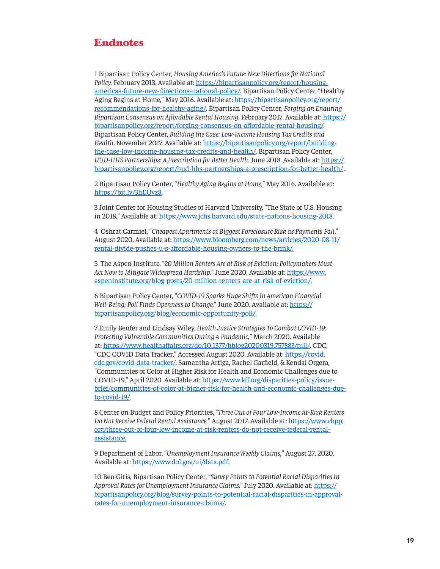## <span id="page-18-0"></span>**Endnotes**

[1](#page-3-0) Bipartisan Policy Center, *Housing America's Future: New Directions for National Policy,* February 2013. Available at: [https://bipartisanpolicy.org/report/housing](https://bipartisanpolicy.org/report/housing-americas-future-new-directions-national-policy/)[americas-future-new-directions-national-policy/](https://bipartisanpolicy.org/report/housing-americas-future-new-directions-national-policy/). Bipartisan Policy Center, "Healthy Aging Begins at Home," May 2016. Available at: [https://bipartisanpolicy.org/report/](https://bipartisanpolicy.org/report/recommendations-for-healthy-aging/) [recommendations-for-healthy-aging/.](https://bipartisanpolicy.org/report/recommendations-for-healthy-aging/) Bipartisan Policy Center, *Forging an Enduring Bipartisan Consensus on Affordable Rental Housing*, February 2017. Available at: [https://](https://bipartisanpolicy.org/report/forging-consensus-on-affordable-rental-housing/) [bipartisanpolicy.org/report/forging-consensus-on-affordable-rental-housing/](https://bipartisanpolicy.org/report/forging-consensus-on-affordable-rental-housing/). Bipartisan Policy Center, *Building the Case: Low-Income Housing Tax Credits and Health*. November 2017. Available at: [https://bipartisanpolicy.org/report/building](https://bipartisanpolicy.org/report/building-the-case-low-income-housing-tax-credits-and-health/)[the-case-low-income-housing-tax-credits-and-health/.](https://bipartisanpolicy.org/report/building-the-case-low-income-housing-tax-credits-and-health/) Bipartisan Policy Center, *HUD-HHS Partnerships: A Prescription for Better Health.* June 2018. Available at: [https://](https://bipartisanpolicy.org/report/hud-hhs-partnerships-a-prescription-for-better-health/) [bipartisanpolicy.org/report/hud-hhs-partnerships-a-prescription-for-better-health/](https://bipartisanpolicy.org/report/hud-hhs-partnerships-a-prescription-for-better-health/) .

[2](#page-3-0) Bipartisan Policy Center, "*Healthy Aging Begins at Home*," May 2016. Available at: [https://bit.ly/3hEUyz8.](https://bit.ly/3hEUyz8)

[3](#page-3-0) Joint Center for Housing Studies of Harvard University, "The State of U.S. Housing in 2018," Available at: [https://www.jchs.harvard.edu/state-nations-housing-2018.](https://www.jchs.harvard.edu/state-nations-housing-2018)

[4](#page-4-0) Oshrat Carmiel, "*Cheapest Apartments at Biggest Foreclosure Risk as Payments Fall*," August 2020. Available at: [https://www.bloomberg.com/news/articles/2020-08-11/](https://www.bloomberg.com/news/articles/2020-08-11/rental-divide-pushes-u-s-affordable-housing-owners-to-the-brink/) [rental-divide-pushes-u-s-affordable-housing-owners-to-the-brink/.](https://www.bloomberg.com/news/articles/2020-08-11/rental-divide-pushes-u-s-affordable-housing-owners-to-the-brink/)

[5](#page-4-0) The Aspen Institute, "*20 Million Renters Are at Risk of Eviction; Policymakers Must Act Now to Mitigate Widespread Hardship,*" June 2020. Available at: [https://www.](https://www.aspeninstitute.org/blog-posts/20-million-renters-are-at-risk-of-eviction/) [aspeninstitute.org/blog-posts/20-million-renters-are-at-risk-of-eviction/](https://www.aspeninstitute.org/blog-posts/20-million-renters-are-at-risk-of-eviction/).

[6](#page-4-0) Bipartisan Policy Center, "*COVID-19 Sparks Huge Shifts in American Financial Well-Being; Poll Finds Openness to Change," June 2020. Available at: [https://](https://bipartisanpolicy.org/blog/economic-opportunity-poll/)* [bipartisanpolicy.org/blog/economic-opportunity-poll/](https://bipartisanpolicy.org/blog/economic-opportunity-poll/).

[7](#page-5-0) Emily Benfer and Lindsay Wiley, *Health Justice Strategies To Combat COVID-19: Protecting Vulnerable Communities During A Pandemic,*" March 2020. Available at: <https://www.healthaffairs.org/do/10.1377/hblog20200319.757883/full/>. CDC, "CDC COVID Data Tracker," Accessed August 2020. Available at: [https://covid.](https://covid.cdc.gov/covid-data-tracker/) [cdc.gov/covid-data-tracker/](https://covid.cdc.gov/covid-data-tracker/). Samantha Artiga, Rachel Garfield, & Kendal Orgera, "Communities of Color at Higher Risk for Health and Economic Challenges due to COVID-19," April 2020. Available at: [https://www.kff.org/disparities-policy/issue](https://www.kff.org/disparities-policy/issue-brief/communities-of-color-at-higher-risk-for-health-and-economic-challenges-due-to-covid-19/)[brief/communities-of-color-at-higher-risk-for-health-and-economic-challenges-due](https://www.kff.org/disparities-policy/issue-brief/communities-of-color-at-higher-risk-for-health-and-economic-challenges-due-to-covid-19/)[to-covid-19/](https://www.kff.org/disparities-policy/issue-brief/communities-of-color-at-higher-risk-for-health-and-economic-challenges-due-to-covid-19/).

[8](#page-10-0) Center on Budget and Policy Priorities, "*Three Out of Four Low-Income At-Risk Renters Do Not Receive Federal Rental Assistance,*" August 2017. Available at: [https://www.cbpp.](https://www.cbpp.org/three-out-of-four-low-income-at-risk-renters-do-not-receive-federal-rental-assistance) [org/three-out-of-four-low-income-at-risk-renters-do-not-receive-federal-rental](https://www.cbpp.org/three-out-of-four-low-income-at-risk-renters-do-not-receive-federal-rental-assistance)[assistance](https://www.cbpp.org/three-out-of-four-low-income-at-risk-renters-do-not-receive-federal-rental-assistance).

[9](#page-10-0) Department of Labor, "*Unemployment Insurance Weekly Claims,*" August 27, 2020. Available at: [https://www.dol.gov/ui/data.pdf.](https://www.dol.gov/ui/data.pdf)

[10](#page-11-0) Ben Gitis, Bipartisan Policy Center, "*Survey Points to Potential Racial Disparities in Approval Rates for Unemployment Insurance Claims,*" July 2020. Available at: [https://](https://bipartisanpolicy.org/blog/survey-points-to-potential-racial-disparities-in-approval-rates-for-unemployment-insurance-claims/) [bipartisanpolicy.org/blog/survey-points-to-potential-racial-disparities-in-approval](https://bipartisanpolicy.org/blog/survey-points-to-potential-racial-disparities-in-approval-rates-for-unemployment-insurance-claims/)[rates-for-unemployment-insurance-claims/.](https://bipartisanpolicy.org/blog/survey-points-to-potential-racial-disparities-in-approval-rates-for-unemployment-insurance-claims/)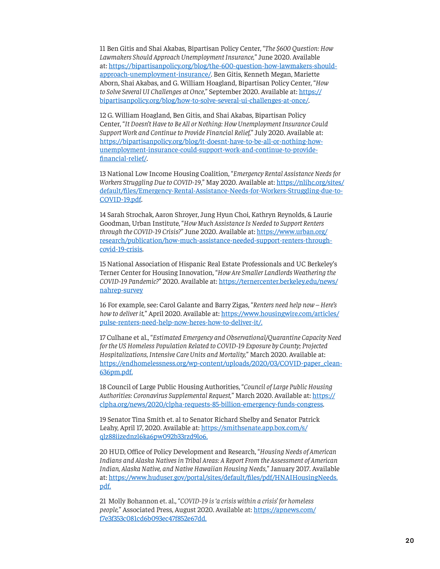<span id="page-19-0"></span>[11](#page-11-0) Ben Gitis and Shai Akabas, Bipartisan Policy Center, "*The \$600 Question: How Lawmakers Should Approach Unemployment Insurance,*" June 2020. Available at: [https://bipartisanpolicy.org/blog/the-600-question-how-lawmakers-should](https://bipartisanpolicy.org/blog/the-600-question-how-lawmakers-should-approach-unemployment-insurance/)[approach-unemployment-insurance/](https://bipartisanpolicy.org/blog/the-600-question-how-lawmakers-should-approach-unemployment-insurance/). Ben Gitis, Kenneth Megan, Mariette Aborn, Shai Akabas, and G. William Hoagland, Bipartisan Policy Center, "*How to Solve Several UI Challenges at Once*," September 2020. Available at: [https://](https://bipartisanpolicy.org/blog/how-to-solve-several-ui-challenges-at-once/) [bipartisanpolicy.org/blog/how-to-solve-several-ui-challenges-at-once/](https://bipartisanpolicy.org/blog/how-to-solve-several-ui-challenges-at-once/).

[12](#page-11-0) G. William Hoagland, Ben Gitis, and Shai Akabas, Bipartisan Policy Center, "*It Doesn't Have to Be All or Nothing: How Unemployment Insurance Could Support Work and Continue to Provide Financial Relief,*" July 2020. Available at: [https://bipartisanpolicy.org/blog/it-doesnt-have-to-be-all-or-nothing-how](https://bipartisanpolicy.org/blog/it-doesnt-have-to-be-all-or-nothing-how-unemployment-insurance-could-support-work-and-continue-to-provide-financial-relief/)[unemployment-insurance-could-support-work-and-continue-to-provide](https://bipartisanpolicy.org/blog/it-doesnt-have-to-be-all-or-nothing-how-unemployment-insurance-could-support-work-and-continue-to-provide-financial-relief/)[financial-relief/](https://bipartisanpolicy.org/blog/it-doesnt-have-to-be-all-or-nothing-how-unemployment-insurance-could-support-work-and-continue-to-provide-financial-relief/).

[13](#page-12-0) National Low Income Housing Coalition, "*Emergency Rental Assistance Needs for Workers Struggling Due to COVID-19*," May 2020. Available at: [https://nlihc.org/sites/](https://nlihc.org/sites/default/files/Emergency-Rental-Assistance-Needs-for-Workers-Struggling-due-to-COVID-19.pdf) [default/files/Emergency-Rental-Assistance-Needs-for-Workers-Struggling-due-to-](https://nlihc.org/sites/default/files/Emergency-Rental-Assistance-Needs-for-Workers-Struggling-due-to-COVID-19.pdf)[COVID-19.pdf](https://nlihc.org/sites/default/files/Emergency-Rental-Assistance-Needs-for-Workers-Struggling-due-to-COVID-19.pdf).

[14](#page-12-0) Sarah Strochak, Aaron Shroyer, Jung Hyun Choi, Kathryn Reynolds, & Laurie Goodman, Urban Institute, "*How Much Assistance Is Needed to Support Renters through the COVID-19 Crisis?*" June 2020. Available at: [https://www.urban.org/](https://www.urban.org/research/publication/how-much-assistance-needed-support-renters-through-covid-19-crisis) [research/publication/how-much-assistance-needed-support-renters-through](https://www.urban.org/research/publication/how-much-assistance-needed-support-renters-through-covid-19-crisis)[covid-19-crisis](https://www.urban.org/research/publication/how-much-assistance-needed-support-renters-through-covid-19-crisis).

[15](#page-13-0) National Association of Hispanic Real Estate Professionals and UC Berkeley's Terner Center for Housing Innovation, "*How Are Smaller Landlords Weathering the COVID-19 Pandemic?*" 2020. Available at: [https://ternercenter.berkeley.edu/news/](https://ternercenter.berkeley.edu/news/nahrep-survey) [nahrep-survey](https://ternercenter.berkeley.edu/news/nahrep-survey)

[16](#page-13-0) For example, see: Carol Galante and Barry Zigas, "*Renters need help now – Here's how to deliver it,*" April 2020. Available at: [https://www.housingwire.com/articles/](https://www.housingwire.com/articles/pulse-renters-need-help-now-heres-how-to-deliver-it/) [pulse-renters-need-help-now-heres-how-to-deliver-it/](https://www.housingwire.com/articles/pulse-renters-need-help-now-heres-how-to-deliver-it/).

[17](#page-13-0) Culhane et al., "*Estimated Emergency and Observational/Quarantine Capacity Need for the US Homeless Population Related to COVID-19 Exposure by County; Projected Hospitalizations, Intensive Care Units and Mortality,*" March 2020. Available at: [https://endhomelessness.org/wp-content/uploads/2020/03/COVID-paper\\_clean-](https://endhomelessness.org/wp-content/uploads/2020/03/COVID-paper_clean-636pm.pdf)[636pm.pdf](https://endhomelessness.org/wp-content/uploads/2020/03/COVID-paper_clean-636pm.pdf).

[18](#page-13-0) Council of Large Public Housing Authorities, "*Council of Large Public Housing Authorities: Coronavirus Supplemental Request,*" March 2020. Available at: [https://](https://clpha.org/news/2020/clpha-requests-85-billion-emergency-funds-congress) [clpha.org/news/2020/clpha-requests-85-billion-emergency-funds-congress.](https://clpha.org/news/2020/clpha-requests-85-billion-emergency-funds-congress)

[19](#page-14-0) Senator Tina Smith et. al to Senator Richard Shelby and Senator Patrick Leahy, April 17, 2020. Available at: [https://smithsenate.app.box.com/s/](https://smithsenate.app.box.com/s/qlz88iizednzl6ka6pw092b33rzd9lo6) [qlz88iizednzl6ka6pw092b33rzd9lo6](https://smithsenate.app.box.com/s/qlz88iizednzl6ka6pw092b33rzd9lo6).

[20](#page-14-0) HUD, Office of Policy Development and Research, "*Housing Needs of American Indians and Alaska Natives in Tribal Areas: A Report From the Assessment of American Indian, Alaska Native, and Native Hawaiian Housing Needs,*" January 2017. Available at: [https://www.huduser.gov/portal/sites/default/files/pdf/HNAIHousingNeeds.](https://www.huduser.gov/portal/sites/default/files/pdf/HNAIHousingNeeds.pdf) [pdf.](https://www.huduser.gov/portal/sites/default/files/pdf/HNAIHousingNeeds.pdf)

[21](#page-15-0) Molly Bohannon et. al., "*COVID-19 is 'a crisis within a crisis' for homeless people,*" Associated Press, August 2020. Available at: [https://apnews.com/](https://apnews.com/f7e3f353c081cd6b093ec47f852e67dd) [f7e3f353c081cd6b093ec47f852e67dd.](https://apnews.com/f7e3f353c081cd6b093ec47f852e67dd)